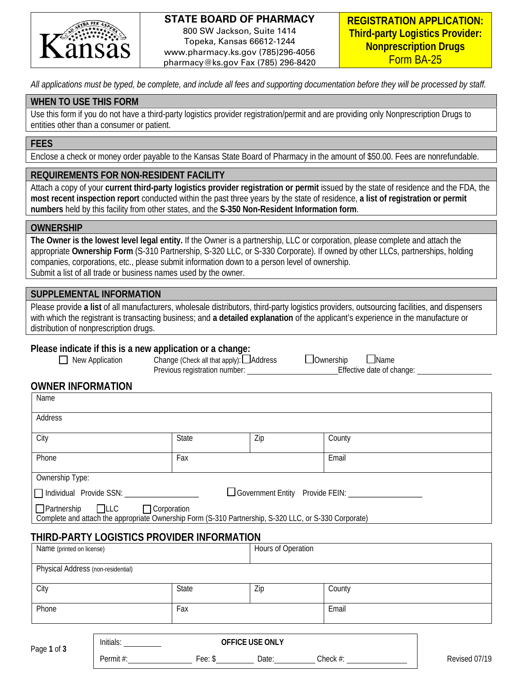

#### **STATE BOARD OF PHARMACY** 800 SW Jackson, Suite 1414 Topeka, Kansas 66612-1244 www.pharmacy.ks.gov (785)296-4056

pharmacy@ks.gov Fax (785) 296-8420

*All applications must be typed, be complete, and include all fees and supporting documentation before they will be processed by staff.* 

#### **WHEN TO USE THIS FORM**

Use this form if you do not have a third-party logistics provider registration/permit and are providing only Nonprescription Drugs to entities other than a consumer or patient.

#### **FEES**

Enclose a check or money order payable to the Kansas State Board of Pharmacy in the amount of \$50.00. Fees are nonrefundable.

#### **REQUIREMENTS FOR NON-RESIDENT FACILITY**

Attach a copy of your **current third-party logistics provider registration or permit** issued by the state of residence and the FDA, the **most recent inspection report** conducted within the past three years by the state of residence, **a list of registration or permit numbers** held by this facility from other states, and the **S-350 Non-Resident Information form**.

#### **OWNERSHIP**

**The Owner is the lowest level legal entity.** If the Owner is a partnership, LLC or corporation, please complete and attach the appropriate **Ownership Form** (S-310 Partnership, S-320 LLC, or S-330 Corporate). If owned by other LLCs, partnerships, holding companies, corporations, etc., please submit information down to a person level of ownership. Submit a list of all trade or business names used by the owner.

## **SUPPLEMENTAL INFORMATION**

Please provide **a list** of all manufacturers, wholesale distributors, third-party logistics providers, outsourcing facilities, and dispensers with which the registrant is transacting business; and **a detailed explanation** of the applicant's experience in the manufacture or distribution of nonprescription drugs.

#### **Please indicate if this is a new application or a change:**

| $\Box$ New Application | Change (Check all that apply): Address | $\Box$ Ownership | $\Box$ Name                 |
|------------------------|----------------------------------------|------------------|-----------------------------|
|                        | Previous registration number           |                  | <b>Effective date of ch</b> |

Effective date of change: \_\_\_\_

#### **OWNER INFORMATION**

| Name                                                                                                                                      |       |                 |                                                      |  |  |
|-------------------------------------------------------------------------------------------------------------------------------------------|-------|-----------------|------------------------------------------------------|--|--|
| Address                                                                                                                                   |       |                 |                                                      |  |  |
| City                                                                                                                                      | State | Zip             | County                                               |  |  |
| Phone                                                                                                                                     | Fax   |                 | Email                                                |  |  |
| Ownership Type:                                                                                                                           |       |                 |                                                      |  |  |
| Individual Provide SSN: ____________________                                                                                              |       |                 | Government Entity Provide FEIN: ____________________ |  |  |
| □ Partnership □LLC □ Corporation<br>Complete and attach the appropriate Ownership Form (S-310 Partnership, S-320 LLC, or S-330 Corporate) |       |                 |                                                      |  |  |
| THIRD-PARTY LOGISTICS PROVIDER INFORMATION                                                                                                |       |                 |                                                      |  |  |
| Name (printed on license)                                                                                                                 |       |                 | Hours of Operation                                   |  |  |
| Physical Address (non-residential)                                                                                                        |       |                 |                                                      |  |  |
| City                                                                                                                                      | State | Zip             | County                                               |  |  |
| Fax<br>Phone                                                                                                                              |       | Email           |                                                      |  |  |
| Initials:<br>Page 1 of 3                                                                                                                  |       | OFFICE USE ONLY |                                                      |  |  |

Permit #: Fee: \$ Date: Check #: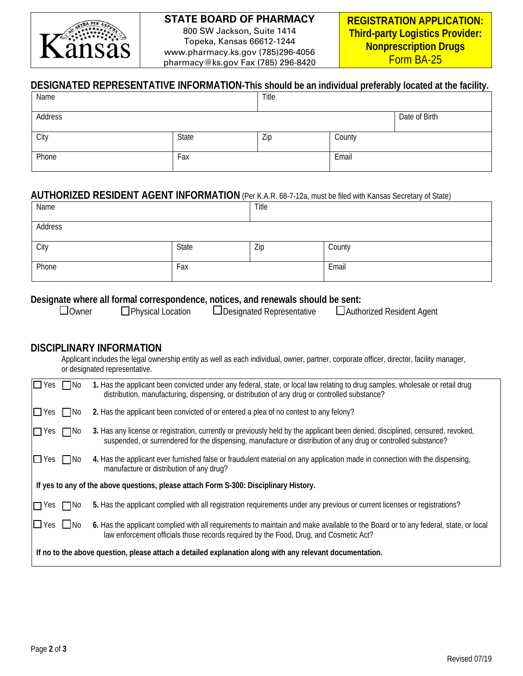

## **STATE BOARD OF PHARMACY**

800 SW Jackson, Suite 1414 Topeka, Kansas 66612-1244 www.pharmacy.ks.gov (785)296-4056 pharmacy@ks.gov Fax (785) 296-8420

## **DESIGNATED REPRESENTATIVE INFORMATION-This should be an individual preferably located at the facility.**

| Name    |       | Title |        |               |
|---------|-------|-------|--------|---------------|
| Address |       |       |        | Date of Birth |
| City    | State | Zip   | County |               |
| Phone   | Fax   |       | Email  |               |

#### **AUTHORIZED RESIDENT AGENT INFORMATION** (Per K.A.R. 68-7-12a, must be filed with Kansas Secretary of State)

| Name    |       | Title |        |
|---------|-------|-------|--------|
| Address |       |       |        |
| City    | State | Zip   | County |
| Phone   | Fax   |       | Email  |

# **Designate where all formal correspondence, notices, and renewals should be sent:**<br> **Designated Representative** Author

| <b>l</b> Owner |  |
|----------------|--|
|----------------|--|

 $\square$ Physical Location  $\square$ Designated Representative  $\square$  Authorized Resident Agent

## **DISCIPLINARY INFORMATION**

Applicant includes the legal ownership entity as well as each individual, owner, partner, corporate officer, director, facility manager, or designated representative.

| $\Box$ Yes                                                                                               | $\Box$ No    | 1. Has the applicant been convicted under any federal, state, or local law relating to drug samples, wholesale or retail drug<br>distribution, manufacturing, dispensing, or distribution of any drug or controlled substance?                   |  |  |
|----------------------------------------------------------------------------------------------------------|--------------|--------------------------------------------------------------------------------------------------------------------------------------------------------------------------------------------------------------------------------------------------|--|--|
| $\Box$ Yes                                                                                               | $\Box$ No    | 2. Has the applicant been convicted of or entered a plea of no contest to any felony?                                                                                                                                                            |  |  |
| $\Box$ Yes                                                                                               | $\Box$ No    | 3. Has any license or registration, currently or previously held by the applicant been denied, disciplined, censured, revoked,<br>suspended, or surrendered for the dispensing, manufacture or distribution of any drug or controlled substance? |  |  |
| $\square$ Yes $\square$ No                                                                               |              | 4. Has the applicant ever furnished false or fraudulent material on any application made in connection with the dispensing,<br>manufacture or distribution of any drug?                                                                          |  |  |
|                                                                                                          |              | If yes to any of the above questions, please attach Form S-300: Disciplinary History.                                                                                                                                                            |  |  |
| $\Box$ Yes                                                                                               | $\square$ No | 5. Has the applicant complied with all registration requirements under any previous or current licenses or registrations?                                                                                                                        |  |  |
| $\square$ Yes $\square$ No                                                                               |              | 6. Has the applicant complied with all requirements to maintain and make available to the Board or to any federal, state, or local<br>law enforcement officials those records required by the Food, Drug, and Cosmetic Act?                      |  |  |
| If no to the above question, please attach a detailed explanation along with any relevant documentation. |              |                                                                                                                                                                                                                                                  |  |  |